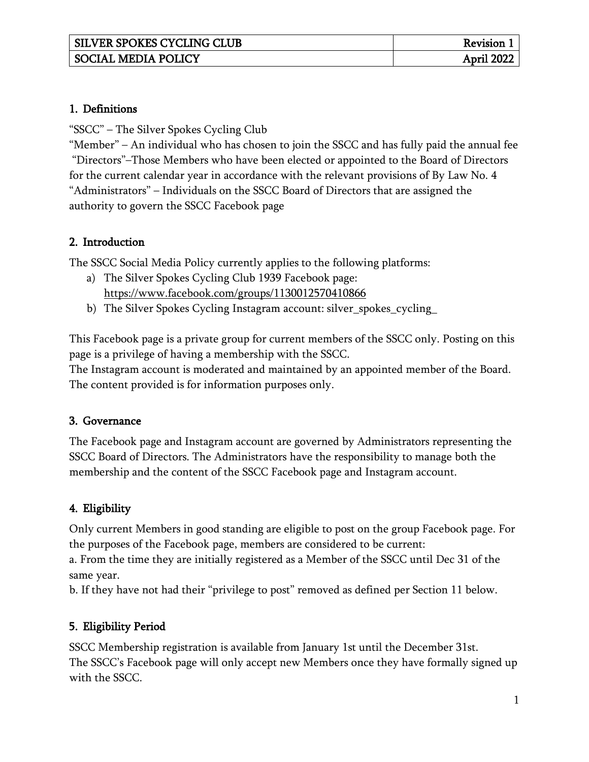### 1. Definitions

"SSCC" – The Silver Spokes Cycling Club

"Member" – An individual who has chosen to join the SSCC and has fully paid the annual fee "Directors"–Those Members who have been elected or appointed to the Board of Directors for the current calendar year in accordance with the relevant provisions of By Law No. 4 "Administrators" – Individuals on the SSCC Board of Directors that are assigned the authority to govern the SSCC Facebook page

### 2. Introduction

The SSCC Social Media Policy currently applies to the following platforms:

- a) The Silver Spokes Cycling Club 1939 Facebook page: <https://www.facebook.com/groups/1130012570410866>
- b) The Silver Spokes Cycling Instagram account: silver\_spokes\_cycling\_

This Facebook page is a private group for current members of the SSCC only. Posting on this page is a privilege of having a membership with the SSCC.

The Instagram account is moderated and maintained by an appointed member of the Board. The content provided is for information purposes only.

### 3. Governance

The Facebook page and Instagram account are governed by Administrators representing the SSCC Board of Directors. The Administrators have the responsibility to manage both the membership and the content of the SSCC Facebook page and Instagram account.

# 4. Eligibility

Only current Members in good standing are eligible to post on the group Facebook page. For the purposes of the Facebook page, members are considered to be current:

a. From the time they are initially registered as a Member of the SSCC until Dec 31 of the same year.

b. If they have not had their "privilege to post" removed as defined per Section 11 below.

# 5. Eligibility Period

SSCC Membership registration is available from January 1st until the December 31st. The SSCC's Facebook page will only accept new Members once they have formally signed up with the SSCC.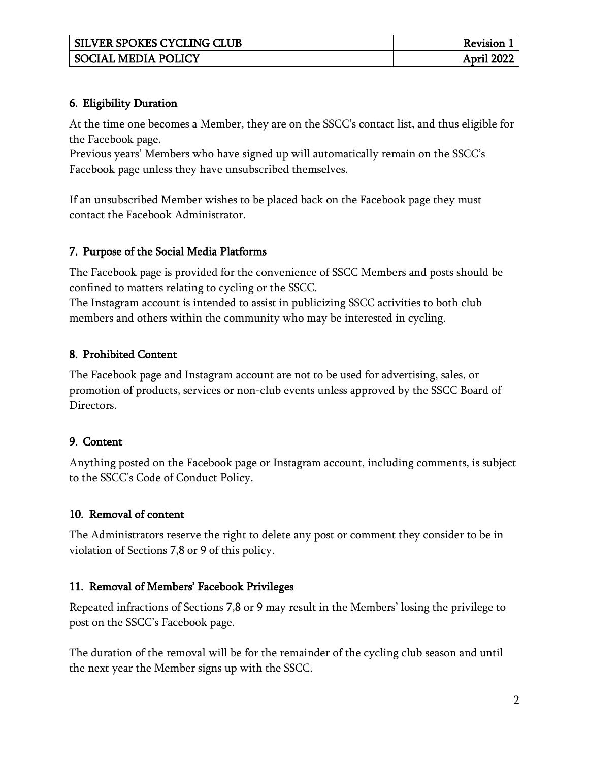| <b>SILVER SPOKES CYCLING CLUB</b> | Revision . |
|-----------------------------------|------------|
| <b>SOCIAL MEDIA POLICY</b>        | April 2022 |

## 6. Eligibility Duration

At the time one becomes a Member, they are on the SSCC's contact list, and thus eligible for the Facebook page.

Previous years' Members who have signed up will automatically remain on the SSCC's Facebook page unless they have unsubscribed themselves.

If an unsubscribed Member wishes to be placed back on the Facebook page they must contact the Facebook Administrator.

## 7. Purpose of the Social Media Platforms

The Facebook page is provided for the convenience of SSCC Members and posts should be confined to matters relating to cycling or the SSCC.

The Instagram account is intended to assist in publicizing SSCC activities to both club members and others within the community who may be interested in cycling.

# 8. Prohibited Content

The Facebook page and Instagram account are not to be used for advertising, sales, or promotion of products, services or non-club events unless approved by the SSCC Board of Directors.

# 9. Content

Anything posted on the Facebook page or Instagram account, including comments, is subject to the SSCC's Code of Conduct Policy.

# 10. Removal of content

The Administrators reserve the right to delete any post or comment they consider to be in violation of Sections 7,8 or 9 of this policy.

# 11. Removal of Members' Facebook Privileges

Repeated infractions of Sections 7,8 or 9 may result in the Members' losing the privilege to post on the SSCC's Facebook page.

The duration of the removal will be for the remainder of the cycling club season and until the next year the Member signs up with the SSCC.